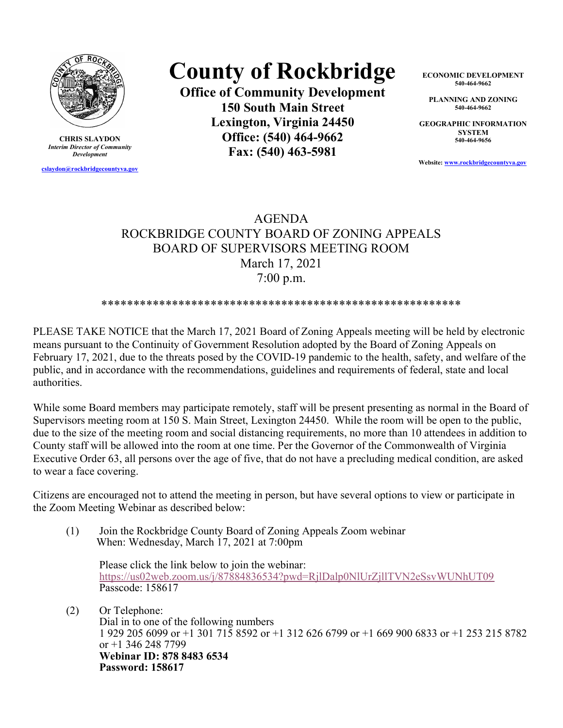

CHRIS SLAYDON Interim Director of Community Development

cslaydon@rockbridgecountyva.gov

## County of Rockbridge

Office of Community Development 150 South Main Street Lexington, Virginia 24450 Office: (540) 464-9662 Fax: (540) 463-5981

ECONOMIC DEVELOPMENT 540-464-9662

PLANNING AND ZONING 540-464-9662

GEOGRAPHIC INFORMATION **SYSTEM** 540-464-9656

Website: www.rockbridgecountyva.gov

## AGENDA ROCKBRIDGE COUNTY BOARD OF ZONING APPEALS BOARD OF SUPERVISORS MEETING ROOM March 17, 2021 7:00 p.m.

## \*\*\*\*\*\*\*\*\*\*\*\*\*\*\*\*\*\*\*\*\*\*\*\*\*\*\*\*\*\*\*\*\*\*\*\*\*\*\*\*\*\*\*\*\*\*\*\*\*\*\*\*\*\*\*\*

PLEASE TAKE NOTICE that the March 17, 2021 Board of Zoning Appeals meeting will be held by electronic means pursuant to the Continuity of Government Resolution adopted by the Board of Zoning Appeals on February 17, 2021, due to the threats posed by the COVID-19 pandemic to the health, safety, and welfare of the public, and in accordance with the recommendations, guidelines and requirements of federal, state and local authorities.

While some Board members may participate remotely, staff will be present presenting as normal in the Board of Supervisors meeting room at 150 S. Main Street, Lexington 24450. While the room will be open to the public, due to the size of the meeting room and social distancing requirements, no more than 10 attendees in addition to County staff will be allowed into the room at one time. Per the Governor of the Commonwealth of Virginia Executive Order 63, all persons over the age of five, that do not have a precluding medical condition, are asked to wear a face covering.

Citizens are encouraged not to attend the meeting in person, but have several options to view or participate in the Zoom Meeting Webinar as described below:

(1) Join the Rockbridge County Board of Zoning Appeals Zoom webinar When: Wednesday, March 17, 2021 at 7:00pm

Please click the link below to join the webinar: https://us02web.zoom.us/j/87884836534?pwd=RjlDalp0NlUrZjllTVN2eSsvWUNhUT09 Passcode: 158617

(2) Or Telephone: Dial in to one of the following numbers 1 929 205 6099 or +1 301 715 8592 or +1 312 626 6799 or +1 669 900 6833 or +1 253 215 8782 or +1 346 248 7799 Webinar ID: 878 8483 6534 Password: 158617